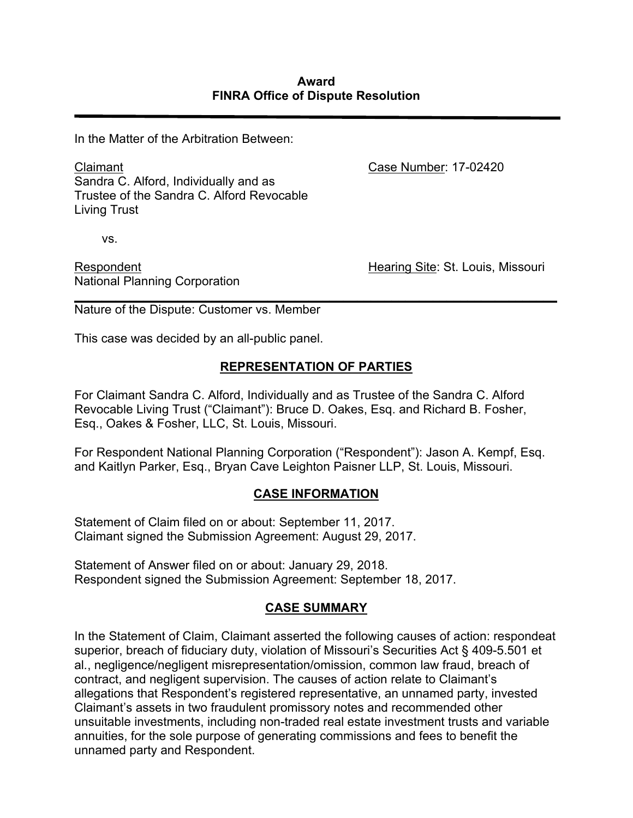In the Matter of the Arbitration Between:

Claimant Sandra C. Alford, Individually and as Trustee of the Sandra C. Alford Revocable Living Trust

vs.

Respondent National Planning Corporation Case Number: 17-02420

Hearing Site: St. Louis, Missouri

*\_\_\_\_\_\_\_\_\_\_\_\_\_\_\_\_\_\_\_\_\_\_\_\_\_\_\_\_\_\_\_\_\_\_\_\_\_\_\_\_\_\_\_\_\_\_\_\_\_\_\_\_\_\_\_\_\_\_\_\_\_\_\_\_\_\_\_\_\_\_* Nature of the Dispute: Customer vs. Member

This case was decided by an all-public panel.

# **REPRESENTATION OF PARTIES**

For Claimant Sandra C. Alford, Individually and as Trustee of the Sandra C. Alford Revocable Living Trust ("Claimant"): Bruce D. Oakes, Esq. and Richard B. Fosher, Esq., Oakes & Fosher, LLC, St. Louis, Missouri.

For Respondent National Planning Corporation ("Respondent"): Jason A. Kempf, Esq. and Kaitlyn Parker, Esq., Bryan Cave Leighton Paisner LLP, St. Louis, Missouri.

### **CASE INFORMATION**

Statement of Claim filed on or about: September 11, 2017. Claimant signed the Submission Agreement: August 29, 2017.

Statement of Answer filed on or about: January 29, 2018. Respondent signed the Submission Agreement: September 18, 2017.

# **CASE SUMMARY**

In the Statement of Claim, Claimant asserted the following causes of action: respondeat superior, breach of fiduciary duty, violation of Missouri's Securities Act § 409-5.501 et al*.*, negligence/negligent misrepresentation/omission, common law fraud, breach of contract, and negligent supervision. The causes of action relate to Claimant's allegations that Respondent's registered representative, an unnamed party, invested Claimant's assets in two fraudulent promissory notes and recommended other unsuitable investments, including non-traded real estate investment trusts and variable annuities, for the sole purpose of generating commissions and fees to benefit the unnamed party and Respondent.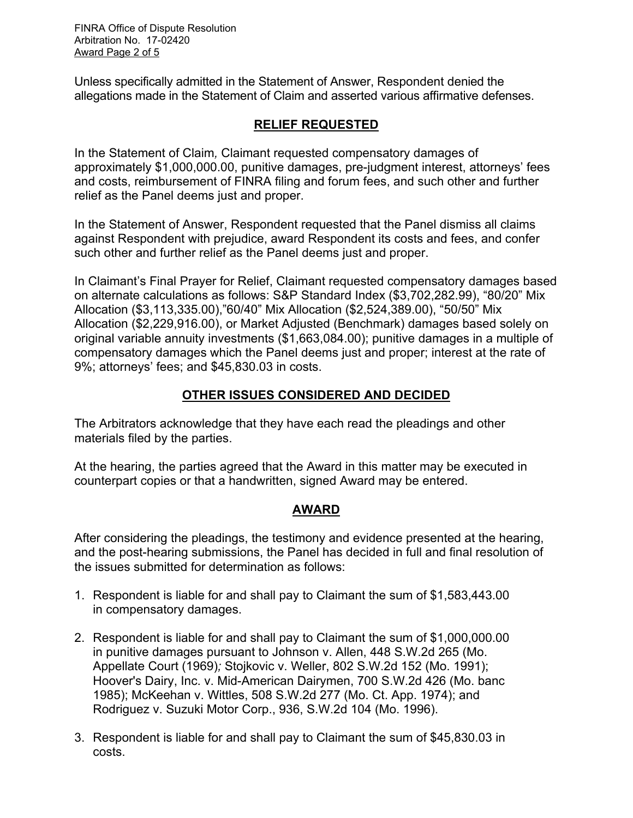FINRA Office of Dispute Resolution Arbitration No. 17-02420 Award Page 2 of 5

Unless specifically admitted in the Statement of Answer, Respondent denied the allegations made in the Statement of Claim and asserted various affirmative defenses.

## **RELIEF REQUESTED**

In the Statement of Claim*,* Claimant requested compensatory damages of approximately \$1,000,000.00, punitive damages, pre-judgment interest, attorneys' fees and costs, reimbursement of FINRA filing and forum fees, and such other and further relief as the Panel deems just and proper.

In the Statement of Answer, Respondent requested that the Panel dismiss all claims against Respondent with prejudice, award Respondent its costs and fees, and confer such other and further relief as the Panel deems just and proper.

In Claimant's Final Prayer for Relief, Claimant requested compensatory damages based on alternate calculations as follows: S&P Standard Index (\$3,702,282.99), "80/20" Mix Allocation (\$3,113,335.00),"60/40" Mix Allocation (\$2,524,389.00), "50/50" Mix Allocation (\$2,229,916.00), or Market Adjusted (Benchmark) damages based solely on original variable annuity investments (\$1,663,084.00); punitive damages in a multiple of compensatory damages which the Panel deems just and proper; interest at the rate of 9%; attorneys' fees; and \$45,830.03 in costs.

## **OTHER ISSUES CONSIDERED AND DECIDED**

The Arbitrators acknowledge that they have each read the pleadings and other materials filed by the parties.

At the hearing, the parties agreed that the Award in this matter may be executed in counterpart copies or that a handwritten, signed Award may be entered.

### **AWARD**

After considering the pleadings, the testimony and evidence presented at the hearing, and the post-hearing submissions, the Panel has decided in full and final resolution of the issues submitted for determination as follows:

- 1. Respondent is liable for and shall pay to Claimant the sum of \$1,583,443.00 in compensatory damages.
- 2. Respondent is liable for and shall pay to Claimant the sum of \$1,000,000.00 in punitive damages pursuant to Johnson v. Allen, 448 S.W.2d 265 (Mo. Appellate Court (1969)*;* Stojkovic v. Weller, 802 S.W.2d 152 (Mo. 1991); Hoover's Dairy, Inc. v. Mid-American Dairymen, 700 S.W.2d 426 (Mo. banc 1985); McKeehan v. Wittles, 508 S.W.2d 277 (Mo. Ct. App. 1974); and Rodriguez v. Suzuki Motor Corp., 936, S.W.2d 104 (Mo. 1996).
- 3. Respondent is liable for and shall pay to Claimant the sum of \$45,830.03 in costs.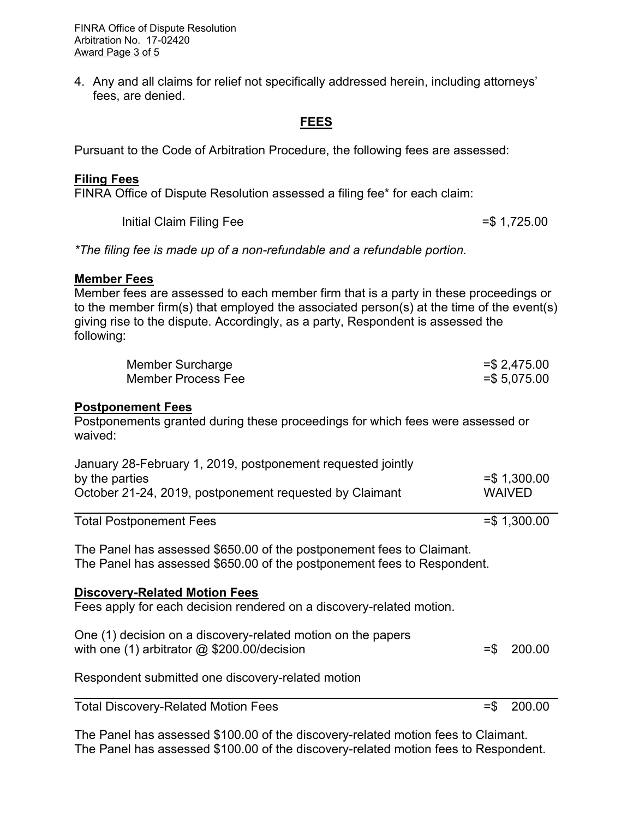FINRA Office of Dispute Resolution Arbitration No. 17-02420 Award Page 3 of 5

4. Any and all claims for relief not specifically addressed herein, including attorneys' fees, are denied.

### **FEES**

Pursuant to the Code of Arbitration Procedure, the following fees are assessed:

#### **Filing Fees**

FINRA Office of Dispute Resolution assessed a filing fee\* for each claim:

Initial Claim Filing Fee  $=$  \$ 1,725.00

*\*The filing fee is made up of a non-refundable and a refundable portion.*

#### **Member Fees**

Member fees are assessed to each member firm that is a party in these proceedings or to the member firm(s) that employed the associated person(s) at the time of the event(s) giving rise to the dispute. Accordingly, as a party, Respondent is assessed the following:

| Member Surcharge   | $=$ \$2,475.00  |
|--------------------|-----------------|
| Member Process Fee | $=$ \$ 5,075.00 |

#### **Postponement Fees**

Postponements granted during these proceedings for which fees were assessed or waived:

| January 28-February 1, 2019, postponement requested jointly |                |
|-------------------------------------------------------------|----------------|
| by the parties                                              | $=$ \$1,300.00 |
| October 21-24, 2019, postponement requested by Claimant     | <b>WAIVED</b>  |
|                                                             |                |

Total Postponement Fees =  $\frac{1}{300.00}$  = \$ 1,300.00

The Panel has assessed \$650.00 of the postponement fees to Claimant. The Panel has assessed \$650.00 of the postponement fees to Respondent.

#### **Discovery-Related Motion Fees**

Fees apply for each decision rendered on a discovery-related motion.

| One (1) decision on a discovery-related motion on the papers |               |
|--------------------------------------------------------------|---------------|
| with one $(1)$ arbitrator $@$ \$200.00/decision              | $=$ \$ 200.00 |

Respondent submitted one discovery-related motion

Total Discovery-Related Motion Fees  $=$  5 200.00

The Panel has assessed \$100.00 of the discovery-related motion fees to Claimant. The Panel has assessed \$100.00 of the discovery-related motion fees to Respondent.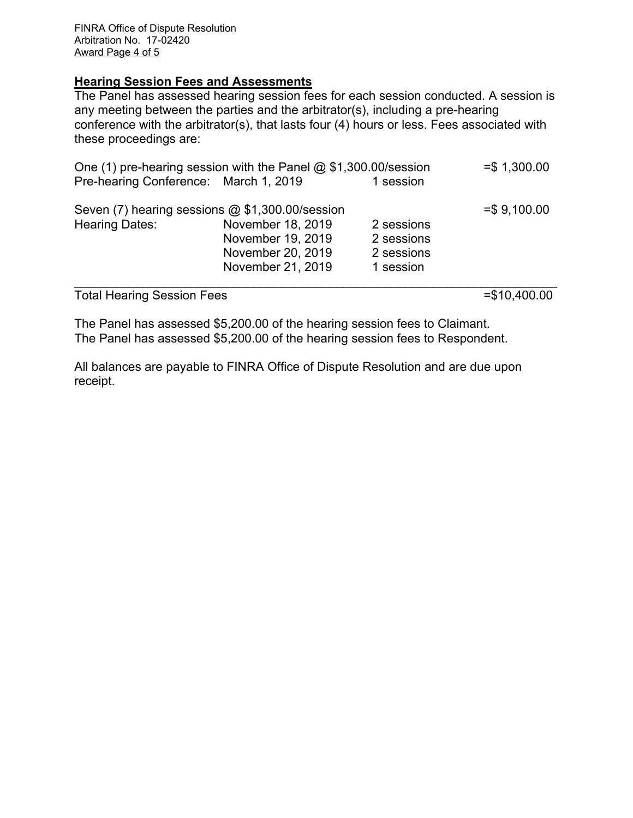FINRA Office of Dispute Resolution Arbitration No. 17-02420 Award Page 4 of 5

#### **Hearing Session Fees and Assessments**

The Panel has assessed hearing session fees for each session conducted. A session is any meeting between the parties and the arbitrator(s), including a pre-hearing conference with the arbitrator(s), that lasts four (4) hours or less. Fees associated with these proceedings are:

| One (1) pre-hearing session with the Panel $@$ \$1,300.00/session |                   | $= $ 1,300.00$ |               |
|-------------------------------------------------------------------|-------------------|----------------|---------------|
| Pre-hearing Conference: March 1, 2019                             |                   | 1 session      |               |
| Seven (7) hearing sessions @ \$1,300.00/session                   |                   |                | $= $9,100.00$ |
| <b>Hearing Dates:</b>                                             | November 18, 2019 | 2 sessions     |               |
|                                                                   | November 19, 2019 | 2 sessions     |               |
|                                                                   | November 20, 2019 | 2 sessions     |               |
|                                                                   | November 21, 2019 | 1 session      |               |
|                                                                   |                   |                |               |

Total Hearing Session Fees =  $\frac{10,400.00}{5}$ 

The Panel has assessed \$5,200.00 of the hearing session fees to Claimant. The Panel has assessed \$5,200.00 of the hearing session fees to Respondent.

All balances are payable to FINRA Office of Dispute Resolution and are due upon receipt.